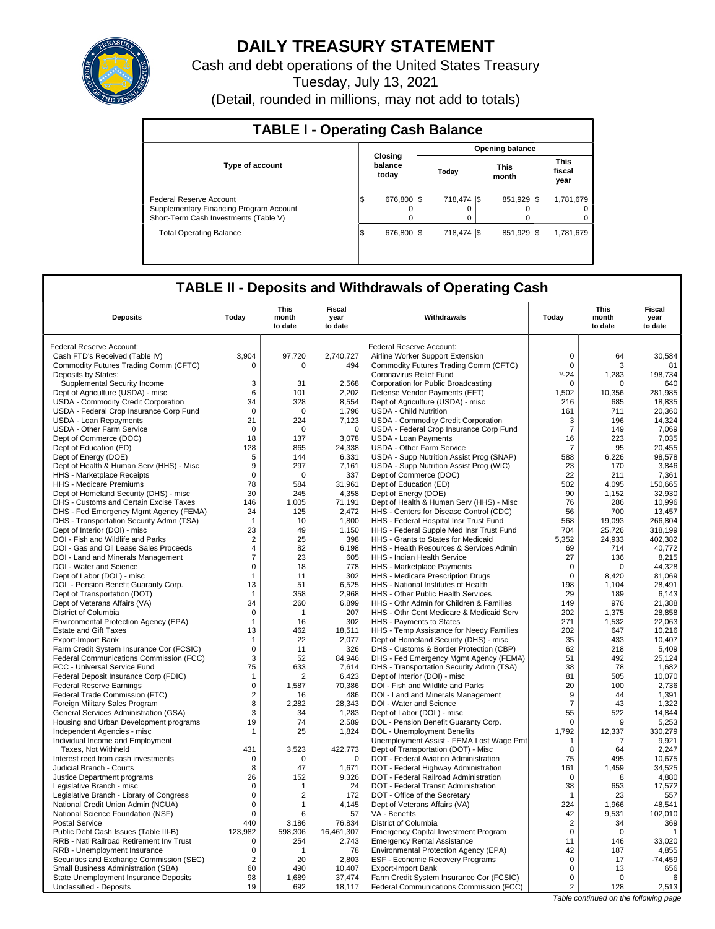

# **DAILY TREASURY STATEMENT**

Cash and debt operations of the United States Treasury

Tuesday, July 13, 2021

(Detail, rounded in millions, may not add to totals)

| <b>TABLE I - Operating Cash Balance</b>                                                                     |                             |                        |               |                               |  |  |  |  |  |
|-------------------------------------------------------------------------------------------------------------|-----------------------------|------------------------|---------------|-------------------------------|--|--|--|--|--|
|                                                                                                             |                             | <b>Opening balance</b> |               |                               |  |  |  |  |  |
| <b>Type of account</b>                                                                                      | Closina<br>balance<br>today | Today                  | This<br>month | <b>This</b><br>fiscal<br>year |  |  |  |  |  |
| Federal Reserve Account<br>Supplementary Financing Program Account<br>Short-Term Cash Investments (Table V) | 676,800 \$<br>IS<br>0<br>0  | 718.474 \\$<br>0       | 851.929 \\$   | 1,781,679<br>0<br>0           |  |  |  |  |  |
| <b>Total Operating Balance</b>                                                                              | 676,800 \$<br>l\$           | 718,474 \$             | 851.929 \\$   | 1,781,679                     |  |  |  |  |  |

## **TABLE II - Deposits and Withdrawals of Operating Cash**

| <b>Deposits</b>                                                                   | Today                         | <b>This</b><br>month<br>to date | <b>Fiscal</b><br>year<br>to date | Withdrawals                                                                       | Today             | This<br>month<br>to date | Fiscal<br>year<br>to date |
|-----------------------------------------------------------------------------------|-------------------------------|---------------------------------|----------------------------------|-----------------------------------------------------------------------------------|-------------------|--------------------------|---------------------------|
| Federal Reserve Account:                                                          |                               |                                 |                                  | Federal Reserve Account:                                                          |                   |                          |                           |
| Cash FTD's Received (Table IV)                                                    | 3.904                         | 97,720                          | 2,740,727                        | Airline Worker Support Extension                                                  | $\mathbf 0$       | 64                       | 30.584                    |
| Commodity Futures Trading Comm (CFTC)                                             | $\Omega$                      | $\Omega$                        | 494                              | Commodity Futures Trading Comm (CFTC)                                             | 0                 | 3                        | 81                        |
| Deposits by States:                                                               |                               |                                 |                                  | Coronavirus Relief Fund                                                           | $1/-24$           | 1,283                    | 198,734                   |
| Supplemental Security Income                                                      | 3                             | 31                              | 2,568                            | Corporation for Public Broadcasting                                               | 0                 | $\Omega$                 | 640                       |
| Dept of Agriculture (USDA) - misc                                                 | 6                             | 101                             | 2,202                            | Defense Vendor Payments (EFT)                                                     | 1,502             | 10,356                   | 281,985                   |
| <b>USDA - Commodity Credit Corporation</b>                                        | 34                            | 328                             | 8,554                            | Dept of Agriculture (USDA) - misc                                                 | 216               | 685                      | 18,835                    |
| USDA - Federal Crop Insurance Corp Fund                                           | $\mathbf 0$                   | $\mathbf 0$                     | 1,796                            | <b>USDA - Child Nutrition</b>                                                     | 161               | 711                      | 20,360                    |
| <b>USDA - Loan Repayments</b>                                                     | 21                            | 224                             | 7,123                            | USDA - Commodity Credit Corporation                                               | 3                 | 196                      | 14,324                    |
| <b>USDA - Other Farm Service</b>                                                  | $\Omega$                      | $\Omega$                        | $\mathbf 0$                      | USDA - Federal Crop Insurance Corp Fund                                           | $\overline{7}$    | 149                      | 7,069                     |
| Dept of Commerce (DOC)                                                            | 18                            | 137                             | 3,078                            | USDA - Loan Payments                                                              | 16                | 223                      | 7,035                     |
| Dept of Education (ED)                                                            | 128                           | 865                             | 24,338                           | <b>USDA - Other Farm Service</b>                                                  | $\overline{7}$    | 95                       | 20,455                    |
| Dept of Energy (DOE)                                                              | 5                             | 144                             | 6,331                            | USDA - Supp Nutrition Assist Prog (SNAP)                                          | 588               | 6,226                    | 98,578                    |
| Dept of Health & Human Serv (HHS) - Misc                                          | 9                             | 297                             | 7.161                            | USDA - Supp Nutrition Assist Prog (WIC)                                           | 23                | 170                      | 3.846                     |
| HHS - Marketplace Receipts                                                        | $\mathbf 0$                   | $\mathbf 0$                     | 337                              | Dept of Commerce (DOC)                                                            | 22                | 211                      | 7,361                     |
| <b>HHS - Medicare Premiums</b>                                                    | 78                            | 584                             | 31,961                           | Dept of Education (ED)                                                            | 502               | 4.095                    | 150.665                   |
| Dept of Homeland Security (DHS) - misc                                            | 30                            | 245                             | 4,358                            | Dept of Energy (DOE)                                                              | 90                | 1,152                    | 32,930                    |
| DHS - Customs and Certain Excise Taxes                                            | 146                           | 1.005                           | 71.191                           | Dept of Health & Human Serv (HHS) - Misc                                          | 76                | 286                      | 10.996                    |
| DHS - Fed Emergency Mgmt Agency (FEMA)                                            | 24                            | 125                             | 2,472                            | HHS - Centers for Disease Control (CDC)                                           | 56                | 700                      | 13,457                    |
| DHS - Transportation Security Admn (TSA)                                          | -1                            | 10                              | 1,800                            | HHS - Federal Hospital Insr Trust Fund                                            | 568               | 19.093                   | 266.804                   |
| Dept of Interior (DOI) - misc                                                     | 23                            | 49                              | 1,150                            | HHS - Federal Supple Med Insr Trust Fund                                          | 704               | 25,726                   | 318,199                   |
| DOI - Fish and Wildlife and Parks                                                 | $\overline{2}$                | 25                              | 398                              | HHS - Grants to States for Medicaid                                               | 5,352             | 24,933                   | 402,382                   |
| DOI - Gas and Oil Lease Sales Proceeds                                            | $\overline{4}$                | 82                              | 6.198                            | HHS - Health Resources & Services Admin                                           | 69                | 714                      | 40.772                    |
| DOI - Land and Minerals Management<br>DOI - Water and Science                     | $\overline{7}$<br>$\mathbf 0$ | 23<br>18                        | 605<br>778                       | HHS - Indian Health Service<br>HHS - Marketplace Payments                         | 27<br>$\mathbf 0$ | 136<br>0                 | 8,215<br>44,328           |
| Dept of Labor (DOL) - misc                                                        | $\mathbf{1}$                  | 11                              | 302                              | HHS - Medicare Prescription Drugs                                                 | 0                 | 8,420                    | 81,069                    |
| DOL - Pension Benefit Guaranty Corp.                                              | 13                            | 51                              | 6,525                            | HHS - National Institutes of Health                                               | 198               | 1.104                    | 28.491                    |
| Dept of Transportation (DOT)                                                      | $\mathbf{1}$                  | 358                             | 2,968                            | HHS - Other Public Health Services                                                | 29                | 189                      | 6,143                     |
| Dept of Veterans Affairs (VA)                                                     | 34                            | 260                             | 6,899                            | HHS - Othr Admin for Children & Families                                          | 149               | 976                      | 21,388                    |
| District of Columbia                                                              | $\mathbf 0$                   | 1                               | 207                              | HHS - Othr Cent Medicare & Medicaid Serv                                          | 202               | 1,375                    | 28,858                    |
| Environmental Protection Agency (EPA)                                             | $\mathbf{1}$                  | 16                              | 302                              | HHS - Payments to States                                                          | 271               | 1,532                    | 22,063                    |
| <b>Estate and Gift Taxes</b>                                                      | 13                            | 462                             | 18,511                           | HHS - Temp Assistance for Needy Families                                          | 202               | 647                      | 10,216                    |
| <b>Export-Import Bank</b>                                                         | $\mathbf{1}$                  | 22                              | 2,077                            | Dept of Homeland Security (DHS) - misc                                            | 35                | 433                      | 10,407                    |
| Farm Credit System Insurance Cor (FCSIC)                                          | $\mathbf 0$                   | 11                              | 326                              | DHS - Customs & Border Protection (CBP)                                           | 62                | 218                      | 5,409                     |
| Federal Communications Commission (FCC)                                           | 3                             | 52                              | 84,946                           | DHS - Fed Emergency Mgmt Agency (FEMA)                                            | 51                | 492                      | 25,124                    |
| FCC - Universal Service Fund                                                      | 75                            | 633                             | 7,614                            | DHS - Transportation Security Admn (TSA)                                          | 38                | 78                       | 1,682                     |
| Federal Deposit Insurance Corp (FDIC)                                             | $\mathbf{1}$                  | $\overline{2}$                  | 6.423                            | Dept of Interior (DOI) - misc                                                     | 81                | 505                      | 10.070                    |
| <b>Federal Reserve Earnings</b>                                                   | $\mathbf 0$                   | 1,587                           | 70,386                           | DOI - Fish and Wildlife and Parks                                                 | 20                | 100                      | 2,736                     |
| Federal Trade Commission (FTC)                                                    | $\overline{c}$                | 16                              | 486                              | DOI - Land and Minerals Management                                                | 9                 | 44                       | 1,391                     |
| Foreign Military Sales Program                                                    | 8                             | 2,282                           | 28,343                           | DOI - Water and Science                                                           | $\overline{7}$    | 43                       | 1,322                     |
| General Services Administration (GSA)                                             | 3                             | 34                              | 1,283                            | Dept of Labor (DOL) - misc                                                        | 55                | 522                      | 14,844                    |
| Housing and Urban Development programs                                            | 19                            | 74                              | 2,589                            | DOL - Pension Benefit Guaranty Corp.                                              | $\mathbf 0$       | 9                        | 5,253                     |
| Independent Agencies - misc                                                       | $\mathbf{1}$                  | 25                              | 1,824                            | DOL - Unemployment Benefits                                                       | 1,792             | 12,337                   | 330,279                   |
| Individual Income and Employment                                                  |                               |                                 |                                  | Unemployment Assist - FEMA Lost Wage Pmt                                          | 1                 | 7                        | 9.921                     |
| Taxes, Not Withheld                                                               | 431                           | 3,523                           | 422,773                          | Dept of Transportation (DOT) - Misc                                               | 8                 | 64                       | 2,247                     |
| Interest recd from cash investments                                               | $\mathbf 0$                   | $\Omega$                        | $\mathbf 0$                      | DOT - Federal Aviation Administration                                             | 75                | 495                      | 10,675                    |
| Judicial Branch - Courts                                                          | 8                             | 47                              | 1,671                            | DOT - Federal Highway Administration                                              | 161               | 1,459                    | 34,525                    |
| Justice Department programs                                                       | 26                            | 152                             | 9,326                            | DOT - Federal Railroad Administration                                             | $\Omega$          | 8                        | 4,880                     |
| Legislative Branch - misc                                                         | $\mathbf 0$                   | 1                               | 24                               | DOT - Federal Transit Administration                                              | 38                | 653                      | 17,572                    |
| Legislative Branch - Library of Congress                                          | 0                             | 2                               | 172                              | DOT - Office of the Secretary                                                     | $\mathbf 1$       | 23                       | 557                       |
| National Credit Union Admin (NCUA)                                                | $\mathbf 0$<br>$\Omega$       | 1<br>6                          | 4,145<br>57                      | Dept of Veterans Affairs (VA)<br>VA - Benefits                                    | 224<br>42         | 1,966                    | 48,541                    |
| National Science Foundation (NSF)<br><b>Postal Service</b>                        | 440                           | 3,186                           | 76,834                           | District of Columbia                                                              | 2                 | 9,531<br>34              | 102,010<br>369            |
|                                                                                   | 123.982                       | 598.306                         |                                  |                                                                                   | $\mathbf 0$       | $\mathbf 0$              | $\mathbf{1}$              |
| Public Debt Cash Issues (Table III-B)<br>RRB - Natl Railroad Retirement Inv Trust | $\mathbf 0$                   | 254                             | 16,461,307<br>2,743              | <b>Emergency Capital Investment Program</b><br><b>Emergency Rental Assistance</b> | 11                | 146                      | 33,020                    |
| RRB - Unemployment Insurance                                                      | 0                             | 1                               | 78                               | Environmental Protection Agency (EPA)                                             | 42                | 187                      | 4,855                     |
| Securities and Exchange Commission (SEC)                                          | $\overline{2}$                | 20                              | 2,803                            | ESF - Economic Recovery Programs                                                  | $\mathbf 0$       | 17                       | $-74,459$                 |
| Small Business Administration (SBA)                                               | 60                            | 490                             | 10,407                           | <b>Export-Import Bank</b>                                                         | 0                 | 13                       | 656                       |
| <b>State Unemployment Insurance Deposits</b>                                      | 98                            | 1,689                           | 37,474                           | Farm Credit System Insurance Cor (FCSIC)                                          | $\mathbf 0$       | $\Omega$                 | 6                         |
| Unclassified - Deposits                                                           | 19                            | 692                             | 18,117                           | Federal Communications Commission (FCC)                                           | 2                 | 128                      | 2,513                     |
|                                                                                   |                               |                                 |                                  |                                                                                   |                   |                          |                           |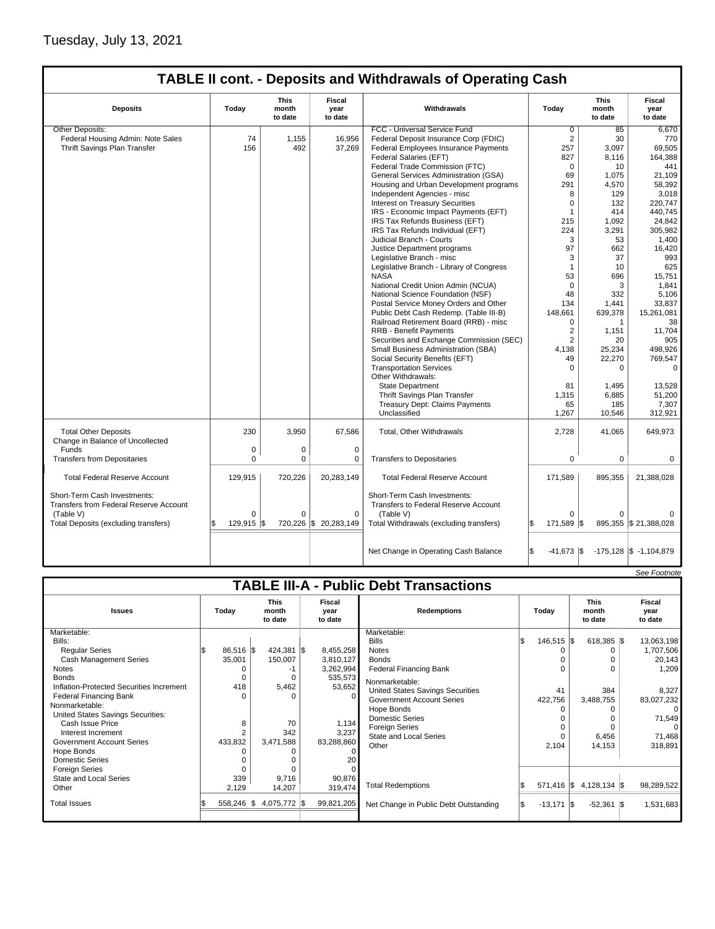## Tuesday, July 13, 2021

 $\mathbf{I}$ 

## **TABLE II cont. - Deposits and Withdrawals of Operating Cash**

| <b>Deposits</b>                                                                            | Todav            | <b>This</b><br>month<br>to date | <b>Fiscal</b><br>year<br>to date | Withdrawals                                                                       | Todav                       | <b>This</b><br>month<br>to date | <b>Fiscal</b><br>year<br>to date |
|--------------------------------------------------------------------------------------------|------------------|---------------------------------|----------------------------------|-----------------------------------------------------------------------------------|-----------------------------|---------------------------------|----------------------------------|
| Other Deposits:                                                                            |                  |                                 |                                  | FCC - Universal Service Fund                                                      | $\overline{0}$              | 85                              | 6,670                            |
| Federal Housing Admin: Note Sales                                                          | 74               | 1,155                           | 16,956                           | Federal Deposit Insurance Corp (FDIC)                                             | 2                           | 30                              | 770                              |
| Thrift Savings Plan Transfer                                                               | 156              | 492                             | 37,269                           | <b>Federal Employees Insurance Payments</b>                                       | 257                         | 3.097                           | 69,505                           |
|                                                                                            |                  |                                 |                                  | Federal Salaries (EFT)                                                            | 827                         | 8,116                           | 164,388                          |
|                                                                                            |                  |                                 |                                  | Federal Trade Commission (FTC)                                                    | 0                           | 10                              | 441                              |
|                                                                                            |                  |                                 |                                  | General Services Administration (GSA)                                             | 69                          | 1,075                           | 21,109                           |
|                                                                                            |                  |                                 |                                  | Housing and Urban Development programs                                            | 291                         | 4,570                           | 58.392                           |
|                                                                                            |                  |                                 |                                  | Independent Agencies - misc                                                       | 8                           | 129                             | 3,018                            |
|                                                                                            |                  |                                 |                                  | <b>Interest on Treasury Securities</b>                                            | $\Omega$                    | 132                             | 220,747                          |
|                                                                                            |                  |                                 |                                  | IRS - Economic Impact Payments (EFT)                                              | $\mathbf{1}$                | 414                             | 440.745                          |
|                                                                                            |                  |                                 |                                  | IRS Tax Refunds Business (EFT)                                                    | 215                         | 1,092                           | 24,842                           |
|                                                                                            |                  |                                 |                                  | IRS Tax Refunds Individual (EFT)                                                  | 224                         | 3,291                           | 305,982                          |
|                                                                                            |                  |                                 |                                  | Judicial Branch - Courts                                                          | 3                           | 53                              | 1,400                            |
|                                                                                            |                  |                                 |                                  | Justice Department programs                                                       | 97                          | 662                             | 16,420                           |
|                                                                                            |                  |                                 |                                  | Legislative Branch - misc                                                         | 3                           | 37                              | 993                              |
|                                                                                            |                  |                                 |                                  | Legislative Branch - Library of Congress                                          | $\mathbf{1}$                | 10                              | 625                              |
|                                                                                            |                  |                                 |                                  | <b>NASA</b>                                                                       | 53                          | 696                             | 15,751                           |
|                                                                                            |                  |                                 |                                  | National Credit Union Admin (NCUA)                                                | $\mathbf 0$                 | 3                               | 1,841                            |
|                                                                                            |                  |                                 |                                  | National Science Foundation (NSF)                                                 | 48                          | 332                             | 5.106                            |
|                                                                                            |                  |                                 |                                  | Postal Service Money Orders and Other                                             | 134                         | 1.441                           | 33.837                           |
|                                                                                            |                  |                                 |                                  | Public Debt Cash Redemp. (Table III-B)                                            | 148.661                     | 639,378                         | 15,261,081                       |
|                                                                                            |                  |                                 |                                  | Railroad Retirement Board (RRB) - misc                                            | 0                           | $\mathbf 1$                     | 38                               |
|                                                                                            |                  |                                 |                                  |                                                                                   | $\overline{2}$              |                                 |                                  |
|                                                                                            |                  |                                 |                                  | <b>RRB - Benefit Payments</b>                                                     |                             | 1,151                           | 11,704                           |
|                                                                                            |                  |                                 |                                  | Securities and Exchange Commission (SEC)                                          | $\overline{2}$              | 20                              | 905                              |
|                                                                                            |                  |                                 |                                  | Small Business Administration (SBA)                                               | 4.138                       | 25,234                          | 498.926                          |
|                                                                                            |                  |                                 |                                  | Social Security Benefits (EFT)                                                    | 49                          | 22,270                          | 769,547                          |
|                                                                                            |                  |                                 |                                  | <b>Transportation Services</b>                                                    | $\Omega$                    | $\Omega$                        | $\Omega$                         |
|                                                                                            |                  |                                 |                                  | Other Withdrawals:                                                                |                             |                                 |                                  |
|                                                                                            |                  |                                 |                                  | <b>State Department</b>                                                           | 81                          | 1,495                           | 13,528                           |
|                                                                                            |                  |                                 |                                  | Thrift Savings Plan Transfer                                                      | 1,315                       | 6,885                           | 51,200                           |
|                                                                                            |                  |                                 |                                  | <b>Treasury Dept: Claims Payments</b>                                             | 65                          | 185                             | 7,307                            |
|                                                                                            |                  |                                 |                                  | Unclassified                                                                      | 1,267                       | 10,546                          | 312,921                          |
| <b>Total Other Deposits</b><br>Change in Balance of Uncollected                            | 230              | 3,950                           | 67,586                           | Total, Other Withdrawals                                                          | 2,728                       | 41,065                          | 649,973                          |
| Funds                                                                                      | 0                | 0                               | $\pmb{0}$                        |                                                                                   |                             |                                 |                                  |
| <b>Transfers from Depositaries</b>                                                         | 0                | 0                               | 0                                | <b>Transfers to Depositaries</b>                                                  | 0                           | 0                               | 0                                |
| <b>Total Federal Reserve Account</b>                                                       | 129,915          | 720,226                         | 20,283,149                       | <b>Total Federal Reserve Account</b>                                              | 171.589                     | 895,355                         | 21,388,028                       |
| Short-Term Cash Investments:<br><b>Transfers from Federal Reserve Account</b><br>(Table V) | $\Omega$         | $\Omega$                        | $\Omega$                         | Short-Term Cash Investments:<br>Transfers to Federal Reserve Account<br>(Table V) | $\Omega$                    | $\Omega$                        |                                  |
| Total Deposits (excluding transfers)                                                       | \$<br>129,915 \$ |                                 | 720,226 \$ 20,283,149            | Total Withdrawals (excluding transfers)                                           | l\$<br>171,589 \$           |                                 | 895,355 \$21,388,028             |
|                                                                                            |                  |                                 |                                  | Net Change in Operating Cash Balance                                              | l\$<br>$-41,673$ $\sqrt{5}$ |                                 | $-175,128$ \$ $-1,104,879$       |

|                                               |  |                |  |                                 |  |                           |                                       |  |                       |                                 |  | See Footnote              |
|-----------------------------------------------|--|----------------|--|---------------------------------|--|---------------------------|---------------------------------------|--|-----------------------|---------------------------------|--|---------------------------|
| <b>TABLE III-A - Public Debt Transactions</b> |  |                |  |                                 |  |                           |                                       |  |                       |                                 |  |                           |
| <b>Issues</b>                                 |  | Today          |  | <b>This</b><br>month<br>to date |  | Fiscal<br>year<br>to date | <b>Redemptions</b>                    |  | Todav                 | <b>This</b><br>month<br>to date |  | Fiscal<br>year<br>to date |
| Marketable:                                   |  |                |  |                                 |  |                           | Marketable:                           |  |                       |                                 |  |                           |
| Bills:                                        |  |                |  |                                 |  |                           | <b>Bills</b>                          |  | $146,515$ $\sqrt{\$}$ | $618,385$ \$                    |  | 13,063,198                |
| <b>Reqular Series</b>                         |  | 86,516 \$      |  | 424,381 \$                      |  | 8,455,258                 | <b>Notes</b>                          |  |                       | 0                               |  | 1,707,506                 |
| <b>Cash Management Series</b>                 |  | 35,001         |  | 150,007                         |  | 3,810,127                 | <b>Bonds</b>                          |  |                       | $\Omega$                        |  | 20,143                    |
| <b>Notes</b>                                  |  | 0              |  | -1                              |  | 3,262,994                 | <b>Federal Financing Bank</b>         |  |                       | $\Omega$                        |  | 1,209                     |
| <b>Bonds</b>                                  |  | O              |  | $\Omega$                        |  | 535,573                   | Nonmarketable:                        |  |                       |                                 |  |                           |
| Inflation-Protected Securities Increment      |  | 418            |  | 5,462                           |  | 53,652                    | United States Savings Securities      |  | 41                    | 384                             |  | 8,327                     |
| <b>Federal Financing Bank</b>                 |  | $\Omega$       |  | O                               |  |                           | <b>Government Account Series</b>      |  | 422,756               | 3,488,755                       |  | 83,027,232                |
| Nonmarketable:                                |  |                |  |                                 |  |                           | Hope Bonds                            |  |                       | 0                               |  | 0                         |
| United States Savings Securities:             |  |                |  |                                 |  |                           | <b>Domestic Series</b>                |  |                       | $\Omega$                        |  | 71,549                    |
| Cash Issue Price                              |  | 8              |  | 70                              |  | 1,134                     | <b>Foreign Series</b>                 |  |                       | $\Omega$                        |  | $\Omega$                  |
| Interest Increment                            |  | $\overline{2}$ |  | 342                             |  | 3,237                     | <b>State and Local Series</b>         |  |                       | 6,456                           |  | 71,468                    |
| <b>Government Account Series</b>              |  | 433,832        |  | 3,471,588                       |  | 83,288,860                | Other                                 |  | 2,104                 | 14,153                          |  | 318,891                   |
| Hope Bonds                                    |  |                |  |                                 |  |                           |                                       |  |                       |                                 |  |                           |
| Domestic Series                               |  |                |  |                                 |  | 20                        |                                       |  |                       |                                 |  |                           |
| <b>Foreign Series</b>                         |  |                |  |                                 |  |                           |                                       |  |                       |                                 |  |                           |
| State and Local Series                        |  | 339            |  | 9,716                           |  | 90,876                    | <b>Total Redemptions</b>              |  | 571,416 \$            | 4,128,134 \$                    |  | 98,289,522                |
| Other                                         |  | 2,129          |  | 14,207                          |  | 319,474                   |                                       |  |                       |                                 |  |                           |
| <b>Total Issues</b>                           |  | 558.246 \$     |  | 4,075,772 \$                    |  | 99,821,205                | Net Change in Public Debt Outstanding |  | $-13,171$ \\$         | $-52,361$ \\$                   |  | 1,531,683                 |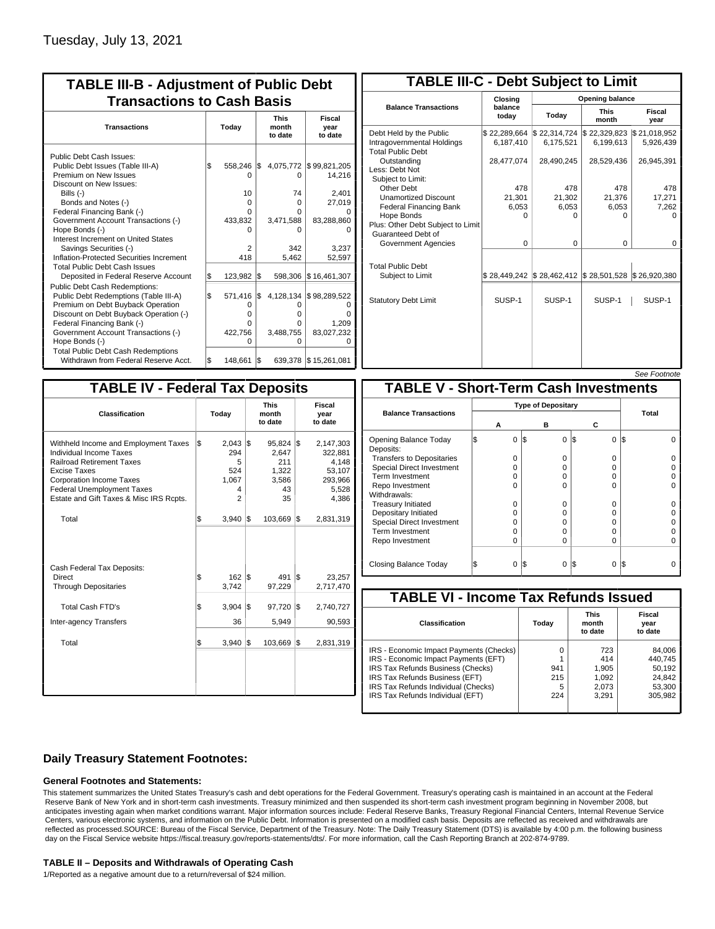| <b>TABLE III-B - Adjustment of Public Debt</b><br><b>Transactions to Cash Basis</b>                                                                                                                                                                                                                                                                                                                |           |                                                                                     |     |                                                         |                                                                                      |  |  |  |  |
|----------------------------------------------------------------------------------------------------------------------------------------------------------------------------------------------------------------------------------------------------------------------------------------------------------------------------------------------------------------------------------------------------|-----------|-------------------------------------------------------------------------------------|-----|---------------------------------------------------------|--------------------------------------------------------------------------------------|--|--|--|--|
| <b>Transactions</b>                                                                                                                                                                                                                                                                                                                                                                                | Today     |                                                                                     |     | <b>This</b><br>month<br>to date                         | <b>Fiscal</b><br>year<br>to date                                                     |  |  |  |  |
| Public Debt Cash Issues:<br>Public Debt Issues (Table III-A)<br>Premium on New Issues<br>Discount on New Issues:<br>Bills $(-)$<br>Bonds and Notes (-)<br>Federal Financing Bank (-)<br>Government Account Transactions (-)<br>Hope Bonds (-)<br>Interest Increment on United States<br>Savings Securities (-)<br>Inflation-Protected Securities Increment<br><b>Total Public Debt Cash Issues</b> | \$        | 558.246<br>$\Omega$<br>10 <sup>1</sup><br>$\Omega$<br>0<br>433,832<br>n<br>2<br>418 | 1\$ | 0<br>74<br>0<br>0<br>3,471,588<br>o<br>342<br>5,462     | 4,075,772 \$99,821,205<br>14,216<br>2,401<br>27,019<br>83,288,860<br>3,237<br>52,597 |  |  |  |  |
| Deposited in Federal Reserve Account<br><b>Public Debt Cash Redemptions:</b><br>Public Debt Redemptions (Table III-A)<br>Premium on Debt Buyback Operation<br>Discount on Debt Buyback Operation (-)<br>Federal Financing Bank (-)<br>Government Account Transactions (-)<br>Hope Bonds (-)<br><b>Total Public Debt Cash Redemptions</b>                                                           | S.<br>l\$ | 123,982<br>571,416<br>0<br>O<br>O<br>422,756<br>O                                   | 1\$ | 598,306<br>\$4,128,134<br>O<br>o<br>0<br>3,488,755<br>U | \$16,461,307<br>\$98,289,522<br>O<br>ŋ<br>1,209<br>83,027,232<br>O                   |  |  |  |  |
| Withdrawn from Federal Reserve Acct.                                                                                                                                                                                                                                                                                                                                                               | l\$       | 148,661                                                                             | I\$ |                                                         | 639,378 \$15,261,081                                                                 |  |  |  |  |

| <b>TABLE III-C - Debt Subject to Limit</b>                                        |                           |                                                                            |                           |                           |  |  |  |  |  |
|-----------------------------------------------------------------------------------|---------------------------|----------------------------------------------------------------------------|---------------------------|---------------------------|--|--|--|--|--|
|                                                                                   | Closing                   | Opening balance                                                            |                           |                           |  |  |  |  |  |
| <b>Balance Transactions</b>                                                       | balance<br>todav          | Today                                                                      | <b>This</b><br>month      | Fiscal<br>year            |  |  |  |  |  |
| Debt Held by the Public<br>Intragovernmental Holdings<br><b>Total Public Debt</b> | \$22,289,664<br>6,187,410 | \$22,314,724<br>6,175,521                                                  | \$22,329,823<br>6,199,613 | \$21,018,952<br>5,926,439 |  |  |  |  |  |
| Outstanding<br>Less: Debt Not<br>Subject to Limit:                                | 28,477,074                | 28,490,245                                                                 | 28,529,436                | 26,945,391                |  |  |  |  |  |
| Other Debt                                                                        | 478                       | 478                                                                        | 478                       | 478                       |  |  |  |  |  |
| <b>Unamortized Discount</b>                                                       | 21,301                    | 21,302                                                                     | 21,376                    | 17,271                    |  |  |  |  |  |
| <b>Federal Financing Bank</b>                                                     | 6,053                     | 6,053                                                                      | 6,053                     | 7,262                     |  |  |  |  |  |
| Hope Bonds<br>Plus: Other Debt Subject to Limit<br>Guaranteed Debt of             | O                         | O                                                                          | O                         | $\Omega$                  |  |  |  |  |  |
| Government Agencies                                                               | $\Omega$                  | $\Omega$                                                                   | $\Omega$                  | 0                         |  |  |  |  |  |
| <b>Total Public Debt</b><br>Subject to Limit                                      | \$28,449,242              | $\frac{1}{2}$ 28,462,412 $\frac{1}{2}$ 28,501,528 $\frac{1}{2}$ 26,920,380 |                           |                           |  |  |  |  |  |
|                                                                                   |                           |                                                                            |                           |                           |  |  |  |  |  |
| <b>Statutory Debt Limit</b>                                                       | SUSP-1                    | SUSP-1                                                                     | SUSP-1                    | SUSP-1                    |  |  |  |  |  |
|                                                                                   |                           |                                                                            |                           |                           |  |  |  |  |  |

| See Footnote |
|--------------|
|              |

| <b>TABLE IV - Federal Tax Deposits</b>                                                                                                                                                                                                        |       |                                                               |     |                                                           |     |                                                                      |
|-----------------------------------------------------------------------------------------------------------------------------------------------------------------------------------------------------------------------------------------------|-------|---------------------------------------------------------------|-----|-----------------------------------------------------------|-----|----------------------------------------------------------------------|
| Classification                                                                                                                                                                                                                                | Today |                                                               |     | <b>This</b><br>month<br>to date                           |     | Fiscal<br>year<br>to date                                            |
| Withheld Income and Employment Taxes<br>Individual Income Taxes<br><b>Railroad Retirement Taxes</b><br><b>Excise Taxes</b><br><b>Corporation Income Taxes</b><br><b>Federal Unemployment Taxes</b><br>Estate and Gift Taxes & Misc IRS Rcpts. | \$    | $2,043$ \$<br>294<br>5<br>524<br>1,067<br>4<br>$\overline{2}$ |     | $95,824$ \$<br>2.647<br>211<br>1,322<br>3,586<br>43<br>35 |     | 2,147,303<br>322,881<br>4,148<br>53,107<br>293,966<br>5,528<br>4,386 |
| Total                                                                                                                                                                                                                                         | \$    | 3,940                                                         | 1\$ | 103,669                                                   | l\$ | 2,831,319                                                            |
| Cash Federal Tax Deposits:<br>Direct<br><b>Through Depositaries</b>                                                                                                                                                                           | \$    | $162$ $\overline{\text{s}}$<br>3,742                          |     | 491<br>97,229                                             | 1\$ | 23,257<br>2,717,470                                                  |
| <b>Total Cash FTD's</b>                                                                                                                                                                                                                       | \$    | 3,904                                                         | 1\$ | 97,720                                                    | 1\$ | 2,740,727                                                            |
| Inter-agency Transfers                                                                                                                                                                                                                        |       | 36                                                            |     | 5,949                                                     |     | 90,593                                                               |
| Total                                                                                                                                                                                                                                         | \$    | 3,940                                                         | 1\$ | 103,669                                                   | 1\$ | 2,831,319                                                            |
|                                                                                                                                                                                                                                               |       |                                                               |     |                                                           |     |                                                                      |

|                                              |   |                           |     |          |          | <u>JEE I VUIIVIE</u> |  |  |  |  |
|----------------------------------------------|---|---------------------------|-----|----------|----------|----------------------|--|--|--|--|
| <b>TABLE V - Short-Term Cash Investments</b> |   |                           |     |          |          |                      |  |  |  |  |
|                                              |   | <b>Type of Depositary</b> |     |          |          |                      |  |  |  |  |
| <b>Balance Transactions</b>                  | А |                           |     | в        | С        | Total                |  |  |  |  |
| Opening Balance Today<br>Deposits:           | S | 0                         | 1\$ | $\Omega$ | 0<br>1\$ | l\$                  |  |  |  |  |
| <b>Transfers to Depositaries</b>             |   | O                         |     | $\Omega$ | O        |                      |  |  |  |  |
| Special Direct Investment                    |   | O                         |     | 0        | 0        |                      |  |  |  |  |
| Term Investment                              |   | O                         |     | 0        | 0        |                      |  |  |  |  |
| Repo Investment                              |   | O                         |     | $\Omega$ | O        |                      |  |  |  |  |
| Withdrawals:                                 |   |                           |     |          |          |                      |  |  |  |  |
| <b>Treasury Initiated</b>                    |   | O                         |     | 0        | 0        |                      |  |  |  |  |
| Depositary Initiated                         |   | O                         |     | 0        | 0        |                      |  |  |  |  |
| <b>Special Direct Investment</b>             |   | Ω                         |     | 0        | O        |                      |  |  |  |  |
| <b>Term Investment</b>                       |   | O                         |     | $\Omega$ | O        |                      |  |  |  |  |
| Repo Investment                              |   | 0                         |     | $\Omega$ | 0        |                      |  |  |  |  |
|                                              |   |                           |     |          |          |                      |  |  |  |  |
| Closing Balance Today                        |   | 0                         | I\$ | 0        | I\$<br>0 | l\$                  |  |  |  |  |

| <b>TABLE VI - Income Tax Refunds Issued</b> |       |                                 |                           |  |  |  |  |  |  |  |
|---------------------------------------------|-------|---------------------------------|---------------------------|--|--|--|--|--|--|--|
| Classification                              | Today | <b>This</b><br>month<br>to date | Fiscal<br>year<br>to date |  |  |  |  |  |  |  |
| IRS - Economic Impact Payments (Checks)     | 0     | 723                             | 84,006                    |  |  |  |  |  |  |  |
| IRS - Economic Impact Payments (EFT)        |       | 414                             | 440.745                   |  |  |  |  |  |  |  |
| IRS Tax Refunds Business (Checks)           | 941   | 1,905                           | 50,192                    |  |  |  |  |  |  |  |
| IRS Tax Refunds Business (EFT)              | 215   | 1,092                           | 24,842                    |  |  |  |  |  |  |  |
| IRS Tax Refunds Individual (Checks)         | 5     | 2,073                           | 53,300                    |  |  |  |  |  |  |  |
| IRS Tax Refunds Individual (EFT)            | 224   | 3,291                           | 305.982                   |  |  |  |  |  |  |  |

### **Daily Treasury Statement Footnotes:**

### **General Footnotes and Statements:**

This statement summarizes the United States Treasury's cash and debt operations for the Federal Government. Treasury's operating cash is maintained in an account at the Federal Reserve Bank of New York and in short-term cash investments. Treasury minimized and then suspended its short-term cash investment program beginning in November 2008, but anticipates investing again when market conditions warrant. Major information sources include: Federal Reserve Banks, Treasury Regional Financial Centers, Internal Revenue Service Centers, various electronic systems, and information on the Public Debt. Information is presented on a modified cash basis. Deposits are reflected as received and withdrawals are reflected as processed.SOURCE: Bureau of the Fiscal Service, Department of the Treasury. Note: The Daily Treasury Statement (DTS) is available by 4:00 p.m. the following business day on the Fiscal Service website https://fiscal.treasury.gov/reports-statements/dts/. For more information, call the Cash Reporting Branch at 202-874-9789.

#### **TABLE II – Deposits and Withdrawals of Operating Cash**

1/Reported as a negative amount due to a return/reversal of \$24 million.